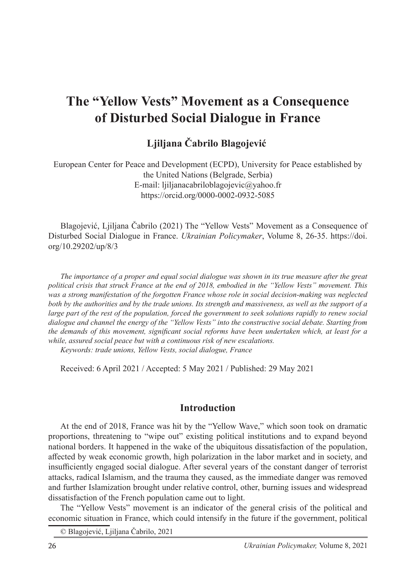# **The "Yellow Vests" Movement as a Consequence of Disturbed Social Dialogue in France**

**Ljiljana Čabrilo Blagojević**<sup>1</sup>

European Center for Peace and Development (ECPD), University for Peace established by the United Nations (Belgrade, Serbia) E-mail: ljiljanacabriloblagojevic@yahoo.fr https://orcid.org/0000-0002-0932-5085

Blagojević, Ljiljana Čabrilo (2021) The "Yellow Vests" Movement as a Consequence of Disturbed Social Dialogue in France. *Ukrainian Policymaker*, Volume 8, 26-35. https://doi. org/10.29202/up/8/3

*The importance of a proper and equal social dialogue was shown in its true measure after the great political crisis that struck France at the end of 2018, embodied in the "Yellow Vests" movement. This was a strong manifestation of the forgotten France whose role in social decision-making was neglected both by the authorities and by the trade unions. Its strength and massiveness, as well as the support of a large part of the rest of the population, forced the government to seek solutions rapidly to renew social dialogue and channel the energy of the "Yellow Vests" into the constructive social debate. Starting from the demands of this movement, significant social reforms have been undertaken which, at least for a while, assured social peace but with a continuous risk of new escalations.*

*Keywords: trade unions, Yellow Vests, social dialogue, France*

Received: 6 April 2021 / Accepted: 5 May 2021 / Published: 29 May 2021

# **Introduction**

At the end of 2018, France was hit by the "Yellow Wave," which soon took on dramatic proportions, threatening to "wipe out" existing political institutions and to expand beyond national borders. It happened in the wake of the ubiquitous dissatisfaction of the population, affected by weak economic growth, high polarization in the labor market and in society, and insufficiently engaged social dialogue. After several years of the constant danger of terrorist attacks, radical Islamism, and the trauma they caused, as the immediate danger was removed and further Islamization brought under relative control, other, burning issues and widespread dissatisfaction of the French population came out to light.

The "Yellow Vests" movement is an indicator of the general crisis of the political and economic situation in France, which could intensify in the future if the government, political

© Blagojević, Ljiljana Čabrilo, 2021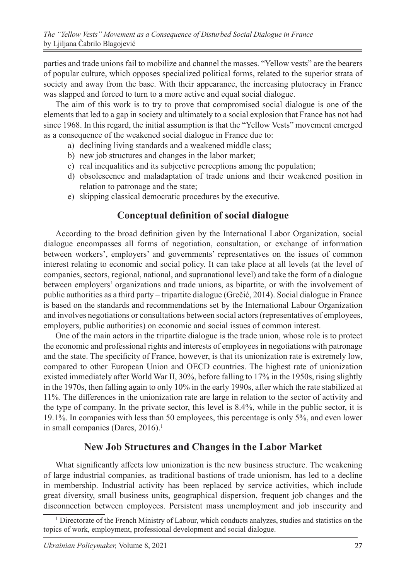parties and trade unions fail to mobilize and channel the masses. "Yellow vests" are the bearers of popular culture, which opposes specialized political forms, related to the superior strata of society and away from the base. With their appearance, the increasing plutocracy in France was slapped and forced to turn to a more active and equal social dialogue.

The aim of this work is to try to prove that compromised social dialogue is one of the elements that led to a gap in society and ultimately to a social explosion that France has not had since 1968. In this regard, the initial assumption is that the "Yellow Vests" movement emerged as a consequence of the weakened social dialogue in France due to:

- a) declining living standards and a weakened middle class;
- b) new job structures and changes in the labor market;
- c) real inequalities and its subjective perceptions among the population;
- d) obsolescence and maladaptation of trade unions and their weakened position in relation to patronage and the state;
- e) skipping classical democratic procedures by the executive.

## **Conceptual definition of social dialogue**

According to the broad definition given by the International Labor Organization, social dialogue encompasses all forms of negotiation, consultation, or exchange of information between workers', employers' and governments' representatives on the issues of common interest relating to economic and social policy. It can take place at all levels (at the level of companies, sectors, regional, national, and supranational level) and take the form of a dialogue between employers' organizations and trade unions, as bipartite, or with the involvement of public authorities as a third party – tripartite dialogue (Grečić, 2014). Social dialogue in France is based on the standards and recommendations set by the International Labour Organization and involves negotiations or consultations between social actors (representatives of employees, employers, public authorities) on economic and social issues of common interest.

One of the main actors in the tripartite dialogue is the trade union, whose role is to protect the economic and professional rights and interests of employees in negotiations with patronage and the state. The specificity of France, however, is that its unionization rate is extremely low, compared to other European Union and OECD countries. The highest rate of unionization existed immediately after World War II, 30%, before falling to 17% in the 1950s, rising slightly in the 1970s, then falling again to only 10% in the early 1990s, after which the rate stabilized at 11%. The differences in the unionization rate are large in relation to the sector of activity and the type of company. In the private sector, this level is 8.4%, while in the public sector, it is 19.1%. In companies with less than 50 employees, this percentage is only 5%, and even lower in small companies (Dares,  $2016$ ).<sup>1</sup>

## **New Job Structures and Changes in the Labor Market**

What significantly affects low unionization is the new business structure. The weakening of large industrial companies, as traditional bastions of trade unionism, has led to a decline in membership. Industrial activity has been replaced by service activities, which include great diversity, small business units, geographical dispersion, frequent job changes and the disconnection between employees. Persistent mass unemployment and job insecurity and

<sup>&</sup>lt;sup>1</sup> Directorate of the French Ministry of Labour, which conducts analyzes, studies and statistics on the topics of work, employment, professional development and social dialogue.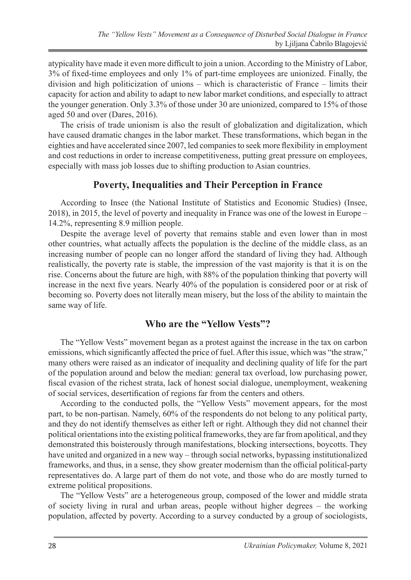atypicality have made it even more difficult to join a union. According to the Ministry of Labor, 3% of fixed-time employees and only 1% of part-time employees are unionized. Finally, the division and high politicization of unions – which is characteristic of France – limits their capacity for action and ability to adapt to new labor market conditions, and especially to attract the younger generation. Only 3.3% of those under 30 are unionized, compared to 15% of those aged 50 and over (Dares, 2016).

The crisis of trade unionism is also the result of globalization and digitalization, which have caused dramatic changes in the labor market. These transformations, which began in the eighties and have accelerated since 2007, led companies to seek more flexibility in employment and cost reductions in order to increase competitiveness, putting great pressure on employees, especially with mass job losses due to shifting production to Asian countries.

# **Poverty, Inequalities and Their Perception in France**

According to Insee (the National Institute of Statistics and Economic Studies) (Insee, 2018), in 2015, the level of poverty and inequality in France was one of the lowest in Europe – 14.2%, representing 8.9 million people.

Despite the average level of poverty that remains stable and even lower than in most other countries, what actually affects the population is the decline of the middle class, as an increasing number of people can no longer afford the standard of living they had. Although realistically, the poverty rate is stable, the impression of the vast majority is that it is on the rise. Concerns about the future are high, with 88% of the population thinking that poverty will increase in the next five years. Nearly 40% of the population is considered poor or at risk of becoming so. Poverty does not literally mean misery, but the loss of the ability to maintain the same way of life.

## **Who are the "Yellow Vests"?**

The "Yellow Vests" movement began as a protest against the increase in the tax on carbon emissions, which significantly affected the price of fuel. After this issue, which was "the straw," many others were raised as an indicator of inequality and declining quality of life for the part of the population around and below the median: general tax overload, low purchasing power, fiscal evasion of the richest strata, lack of honest social dialogue, unemployment, weakening of social services, desertification of regions far from the centers and others.

According to the conducted polls, the "Yellow Vests" movement appears, for the most part, to be non-partisan. Namely, 60% of the respondents do not belong to any political party, and they do not identify themselves as either left or right. Although they did not channel their political orientations into the existing political frameworks, they are far from apolitical, and they demonstrated this boisterously through manifestations, blocking intersections, boycotts. They have united and organized in a new way – through social networks, bypassing institutionalized frameworks, and thus, in a sense, they show greater modernism than the official political-party representatives do. A large part of them do not vote, and those who do are mostly turned to extreme political propositions.

The "Yellow Vests" are a heterogeneous group, composed of the lower and middle strata of society living in rural and urban areas, people without higher degrees – the working population, affected by poverty. According to a survey conducted by a group of sociologists,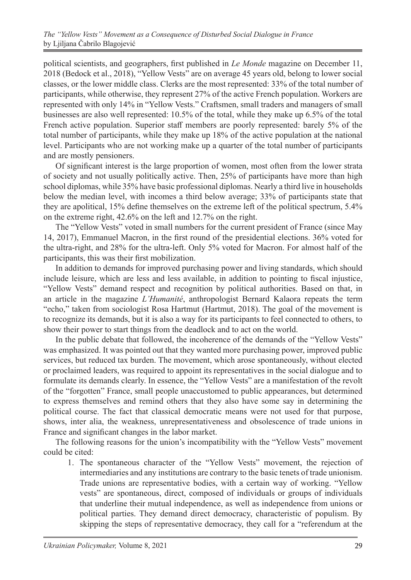political scientists, and geographers, first published in *Le Monde* magazine on December 11, 2018 (Bedock et al., 2018), "Yellow Vests" are on average 45 years old, belong to lower social classes, or the lower middle class. Clerks are the most represented: 33% of the total number of participants, while otherwise, they represent 27% of the active French population. Workers are represented with only 14% in "Yellow Vests." Craftsmen, small traders and managers of small businesses are also well represented: 10.5% of the total, while they make up 6.5% of the total French active population. Superior staff members are poorly represented: barely 5% of the total number of participants, while they make up 18% of the active population at the national level. Participants who are not working make up a quarter of the total number of participants and are mostly pensioners.

Of significant interest is the large proportion of women, most often from the lower strata of society and not usually politically active. Then, 25% of participants have more than high school diplomas, while 35% have basic professional diplomas. Nearly a third live in households below the median level, with incomes a third below average; 33% of participants state that they are apolitical, 15% define themselves on the extreme left of the political spectrum, 5.4% on the extreme right, 42.6% on the left and 12.7% on the right.

The "Yellow Vests" voted in small numbers for the current president of France (since May 14, 2017), Emmanuel Macron, in the first round of the presidential elections. 36% voted for the ultra-right, and 28% for the ultra-left. Only 5% voted for Macron. For almost half of the participants, this was their first mobilization.

In addition to demands for improved purchasing power and living standards, which should include leisure, which are less and less available, in addition to pointing to fiscal injustice, "Yellow Vests" demand respect and recognition by political authorities. Based on that, in an article in the magazine *L'Humanité*, anthropologist Bernard Kalaora repeats the term "echo," taken from sociologist Rosa Hartmut (Hartmut, 2018). The goal of the movement is to recognize its demands, but it is also a way for its participants to feel connected to others, to show their power to start things from the deadlock and to act on the world.

In the public debate that followed, the incoherence of the demands of the "Yellow Vests" was emphasized. It was pointed out that they wanted more purchasing power, improved public services, but reduced tax burden. The movement, which arose spontaneously, without elected or proclaimed leaders, was required to appoint its representatives in the social dialogue and to formulate its demands clearly. In essence, the "Yellow Vests" are a manifestation of the revolt of the "forgotten" France, small people unaccustomed to public appearances, but determined to express themselves and remind others that they also have some say in determining the political course. The fact that classical democratic means were not used for that purpose, shows, inter alia, the weakness, unrepresentativeness and obsolescence of trade unions in France and significant changes in the labor market.

The following reasons for the union's incompatibility with the "Yellow Vests" movement could be cited:

1. The spontaneous character of the "Yellow Vests" movement, the rejection of intermediaries and any institutions are contrary to the basic tenets of trade unionism. Trade unions are representative bodies, with a certain way of working. "Yellow vests" are spontaneous, direct, composed of individuals or groups of individuals that underline their mutual independence, as well as independence from unions or political parties. They demand direct democracy, characteristic of populism. By skipping the steps of representative democracy, they call for a "referendum at the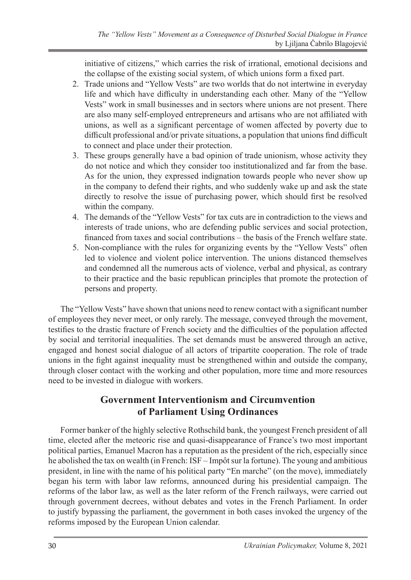initiative of citizens," which carries the risk of irrational, emotional decisions and the collapse of the existing social system, of which unions form a fixed part.

- 2. Trade unions and "Yellow Vests" are two worlds that do not intertwine in everyday life and which have difficulty in understanding each other. Many of the "Yellow Vests" work in small businesses and in sectors where unions are not present. There are also many self-employed entrepreneurs and artisans who are not affiliated with unions, as well as a significant percentage of women affected by poverty due to difficult professional and/or private situations, a population that unions find difficult to connect and place under their protection.
- 3. These groups generally have a bad opinion of trade unionism, whose activity they do not notice and which they consider too institutionalized and far from the base. As for the union, they expressed indignation towards people who never show up in the company to defend their rights, and who suddenly wake up and ask the state directly to resolve the issue of purchasing power, which should first be resolved within the company.
- 4. The demands of the "Yellow Vests" for tax cuts are in contradiction to the views and interests of trade unions, who are defending public services and social protection, financed from taxes and social contributions – the basis of the French welfare state.
- 5. Non-compliance with the rules for organizing events by the "Yellow Vests" often led to violence and violent police intervention. The unions distanced themselves and condemned all the numerous acts of violence, verbal and physical, as contrary to their practice and the basic republican principles that promote the protection of persons and property.

The "Yellow Vests" have shown that unions need to renew contact with a significant number of employees they never meet, or only rarely. The message, conveyed through the movement, testifies to the drastic fracture of French society and the difficulties of the population affected by social and territorial inequalities. The set demands must be answered through an active, engaged and honest social dialogue of all actors of tripartite cooperation. The role of trade unions in the fight against inequality must be strengthened within and outside the company, through closer contact with the working and other population, more time and more resources need to be invested in dialogue with workers.

# **Government Interventionism and Circumvention of Parliament Using Ordinances**

Former banker of the highly selective Rothschild bank, the youngest French president of all time, elected after the meteoric rise and quasi-disappearance of France's two most important political parties, Emanuel Macron has a reputation as the president of the rich, especially since he abolished the tax on wealth (in French: ISF – Impôt sur la fortune). The young and ambitious president, in line with the name of his political party "En marche" (on the move), immediately began his term with labor law reforms, announced during his presidential campaign. The reforms of the labor law, as well as the later reform of the French railways, were carried out through government decrees, without debates and votes in the French Parliament. In order to justify bypassing the parliament, the government in both cases invoked the urgency of the reforms imposed by the European Union calendar.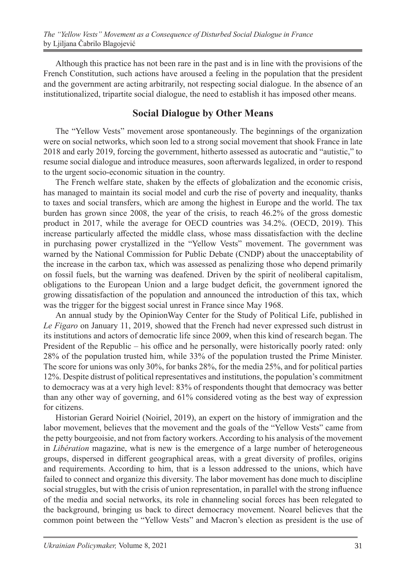Although this practice has not been rare in the past and is in line with the provisions of the French Constitution, such actions have aroused a feeling in the population that the president and the government are acting arbitrarily, not respecting social dialogue. In the absence of an institutionalized, tripartite social dialogue, the need to establish it has imposed other means.

# **Social Dialogue by Other Means**

The "Yellow Vests" movement arose spontaneously. The beginnings of the organization were on social networks, which soon led to a strong social movement that shook France in late 2018 and early 2019, forcing the government, hitherto assessed as autocratic and "autistic," to resume social dialogue and introduce measures, soon afterwards legalized, in order to respond to the urgent socio-economic situation in the country.

The French welfare state, shaken by the effects of globalization and the economic crisis, has managed to maintain its social model and curb the rise of poverty and inequality, thanks to taxes and social transfers, which are among the highest in Europe and the world. The tax burden has grown since 2008, the year of the crisis, to reach 46.2% of the gross domestic product in 2017, while the average for OECD countries was 34.2%. (OECD, 2019). This increase particularly affected the middle class, whose mass dissatisfaction with the decline in purchasing power crystallized in the "Yellow Vests" movement. The government was warned by the National Commission for Public Debate (CNDP) about the unacceptability of the increase in the carbon tax, which was assessed as penalizing those who depend primarily on fossil fuels, but the warning was deafened. Driven by the spirit of neoliberal capitalism, obligations to the European Union and a large budget deficit, the government ignored the growing dissatisfaction of the population and announced the introduction of this tax, which was the trigger for the biggest social unrest in France since May 1968.

An annual study by the OpinionWay Center for the Study of Political Life, published in *Le Figaro* on January 11, 2019, showed that the French had never expressed such distrust in its institutions and actors of democratic life since 2009, when this kind of research began. The President of the Republic – his office and he personally, were historically poorly rated: only 28% of the population trusted him, while 33% of the population trusted the Prime Minister. The score for unions was only 30%, for banks 28%, for the media 25%, and for political parties 12%. Despite distrust of political representatives and institutions, the population's commitment to democracy was at a very high level: 83% of respondents thought that democracy was better than any other way of governing, and 61% considered voting as the best way of expression for citizens.

Historian Gerard Noiriel (Noiriel, 2019), an expert on the history of immigration and the labor movement, believes that the movement and the goals of the "Yellow Vests" came from the petty bourgeoisie, and not from factory workers. According to his analysis of the movement in *Libération* magazine, what is new is the emergence of a large number of heterogeneous groups, dispersed in different geographical areas, with a great diversity of profiles, origins and requirements. According to him, that is a lesson addressed to the unions, which have failed to connect and organize this diversity. The labor movement has done much to discipline social struggles, but with the crisis of union representation, in parallel with the strong influence of the media and social networks, its role in channeling social forces has been relegated to the background, bringing us back to direct democracy movement. Noarel believes that the common point between the "Yellow Vests" and Macron's election as president is the use of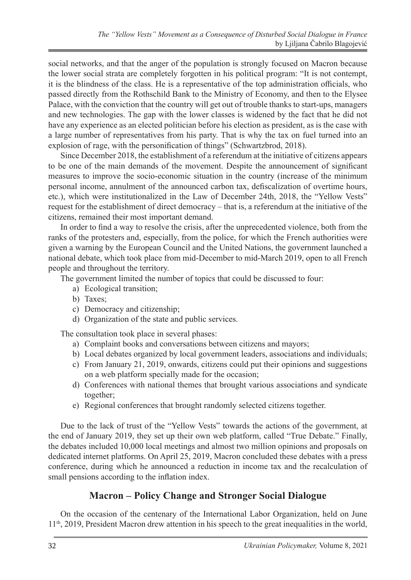social networks, and that the anger of the population is strongly focused on Macron because the lower social strata are completely forgotten in his political program: "It is not contempt, it is the blindness of the class. He is a representative of the top administration officials, who passed directly from the Rothschild Bank to the Ministry of Economy, and then to the Elysee Palace, with the conviction that the country will get out of trouble thanks to start-ups, managers and new technologies. The gap with the lower classes is widened by the fact that he did not have any experience as an elected politician before his election as president, as is the case with a large number of representatives from his party. That is why the tax on fuel turned into an explosion of rage, with the personification of things" (Schwartzbrod, 2018).

Since December 2018, the establishment of a referendum at the initiative of citizens appears to be one of the main demands of the movement. Despite the announcement of significant measures to improve the socio-economic situation in the country (increase of the minimum personal income, annulment of the announced carbon tax, defiscalization of overtime hours, etc.), which were institutionalized in the Law of December 24th, 2018, the "Yellow Vests" request for the establishment of direct democracy – that is, a referendum at the initiative of the citizens, remained their most important demand.

In order to find a way to resolve the crisis, after the unprecedented violence, both from the ranks of the protesters and, especially, from the police, for which the French authorities were given a warning by the European Council and the United Nations, the government launched a national debate, which took place from mid-December to mid-March 2019, open to all French people and throughout the territory.

The government limited the number of topics that could be discussed to four:

- a) Ecological transition;
- b) Taxes;
- c) Democracy and citizenship;
- d) Organization of the state and public services.

The consultation took place in several phases:

- a) Complaint books and conversations between citizens and mayors;
- b) Local debates organized by local government leaders, associations and individuals;
- c) From January 21, 2019, onwards, citizens could put their opinions and suggestions on a web platform specially made for the occasion;
- d) Conferences with national themes that brought various associations and syndicate together;
- e) Regional conferences that brought randomly selected citizens together.

Due to the lack of trust of the "Yellow Vests" towards the actions of the government, at the end of January 2019, they set up their own web platform, called "True Debate." Finally, the debates included 10,000 local meetings and almost two million opinions and proposals on dedicated internet platforms. On April 25, 2019, Macron concluded these debates with a press conference, during which he announced a reduction in income tax and the recalculation of small pensions according to the inflation index.

# **Macron – Policy Change and Stronger Social Dialogue**

On the occasion of the centenary of the International Labor Organization, held on June 11th, 2019, President Macron drew attention in his speech to the great inequalities in the world,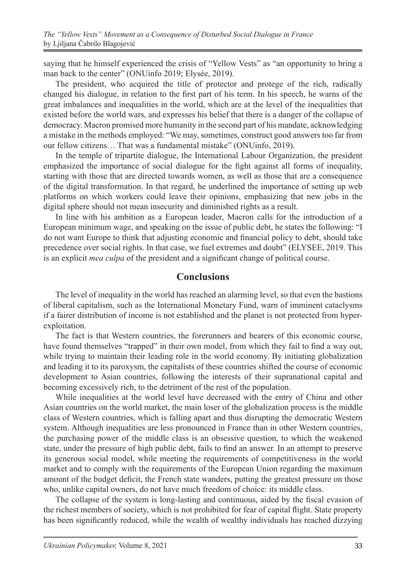saying that he himself experienced the crisis of "Yellow Vests" as "an opportunity to bring a man back to the center" (ONUinfo 2019; Elysée, 2019).

The president, who acquired the title of protector and protege of the rich, radically changed his dialogue, in relation to the first part of his term. In his speech, he warns of the great imbalances and inequalities in the world, which are at the level of the inequalities that existed before the world wars, and expresses his belief that there is a danger of the collapse of democracy. Macron promised more humanity in the second part of his mandate, acknowledging a mistake in the methods employed: "We may, sometimes, construct good answers too far from our fellow citizens… That was a fundamental mistake" (ONUinfo, 2019).

In the temple of tripartite dialogue, the International Labour Organization, the president emphasized the importance of social dialogue for the fight against all forms of inequality, starting with those that are directed towards women, as well as those that are a consequence of the digital transformation. In that regard, he underlined the importance of setting up web platforms on which workers could leave their opinions, emphasizing that new jobs in the digital sphere should not mean insecurity and diminished rights as a result.

In line with his ambition as a European leader, Macron calls for the introduction of a European minimum wage, and speaking on the issue of public debt, he states the following: "I do not want Europe to think that adjusting economic and financial policy to debt, should take precedence over social rights. In that case, we fuel extremes and doubt" (ELYSEE, 2019. This is an explicit *mea culpa* of the president and a significant change of political course.

#### **Conclusions**

The level of inequality in the world has reached an alarming level, so that even the bastions of liberal capitalism, such as the International Monetary Fund, warn of imminent cataclysms if a fairer distribution of income is not established and the planet is not protected from hyperexploitation.

The fact is that Western countries, the forerunners and bearers of this economic course, have found themselves "trapped" in their own model, from which they fail to find a way out, while trying to maintain their leading role in the world economy. By initiating globalization and leading it to its paroxysm, the capitalists of these countries shifted the course of economic development to Asian countries, following the interests of their supranational capital and becoming excessively rich, to the detriment of the rest of the population.

While inequalities at the world level have decreased with the entry of China and other Asian countries on the world market, the main loser of the globalization process is the middle class of Western countries, which is falling apart and thus disrupting the democratic Western system. Although inequalities are less pronounced in France than in other Western countries, the purchasing power of the middle class is an obsessive question, to which the weakened state, under the pressure of high public debt, fails to find an answer. In an attempt to preserve its generous social model, while meeting the requirements of competitiveness in the world market and to comply with the requirements of the European Union regarding the maximum amount of the budget deficit, the French state wanders, putting the greatest pressure on those who, unlike capital owners, do not have much freedom of choice: its middle class.

The collapse of the system is long-lasting and continuous, aided by the fiscal evasion of the richest members of society, which is not prohibited for fear of capital flight. State property has been significantly reduced, while the wealth of wealthy individuals has reached dizzying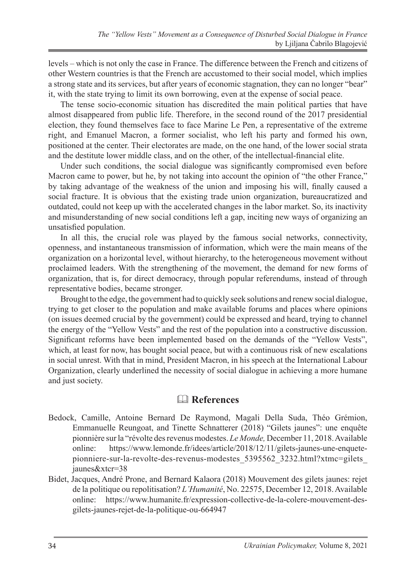levels – which is not only the case in France. The difference between the French and citizens of other Western countries is that the French are accustomed to their social model, which implies a strong state and its services, but after years of economic stagnation, they can no longer "bear" it, with the state trying to limit its own borrowing, even at the expense of social peace.

The tense socio-economic situation has discredited the main political parties that have almost disappeared from public life. Therefore, in the second round of the 2017 presidential election, they found themselves face to face Marine Le Pen, a representative of the extreme right, and Emanuel Macron, a former socialist, who left his party and formed his own, positioned at the center. Their electorates are made, on the one hand, of the lower social strata and the destitute lower middle class, and on the other, of the intellectual-financial elite.

Under such conditions, the social dialogue was significantly compromised even before Macron came to power, but he, by not taking into account the opinion of "the other France," by taking advantage of the weakness of the union and imposing his will, finally caused a social fracture. It is obvious that the existing trade union organization, bureaucratized and outdated, could not keep up with the accelerated changes in the labor market. So, its inactivity and misunderstanding of new social conditions left a gap, inciting new ways of organizing an unsatisfied population.

In all this, the crucial role was played by the famous social networks, connectivity, openness, and instantaneous transmission of information, which were the main means of the organization on a horizontal level, without hierarchy, to the heterogeneous movement without proclaimed leaders. With the strengthening of the movement, the demand for new forms of organization, that is, for direct democracy, through popular referendums, instead of through representative bodies, became stronger.

Brought to the edge, the government had to quickly seek solutions and renew social dialogue, trying to get closer to the population and make available forums and places where opinions (on issues deemed crucial by the government) could be expressed and heard, trying to channel the energy of the "Yellow Vests" and the rest of the population into a constructive discussion. Significant reforms have been implemented based on the demands of the "Yellow Vests", which, at least for now, has bought social peace, but with a continuous risk of new escalations in social unrest. With that in mind, President Macron, in his speech at the International Labour Organization, clearly underlined the necessity of social dialogue in achieving a more humane and just society.

# & **References**

- Bedock, Camille, Antoine Bernard De Raymond, Magali Della Suda, Théo Grémion, Emmanuelle Reungoat, and Tinette Schnatterer (2018) "Gilets jaunes": une enquête pionnière sur la "révolte des revenus modestes. *Le Monde,* December 11, 2018. Available online: https://www.lemonde.fr/idees/article/2018/12/11/gilets-jaunes-une-enquetepionniere-sur-la-revolte-des-revenus-modestes 5395562 3232.html?xtmc=gilets jaunes&xtcr=38
- Bidet, Jacques, André Prone, and Bernard Kalaora (2018) Mouvement des gilets jaunes: rejet de la politique ou repolitisation? *L'Humanité*, No. 22575, December 12, 2018. Available online: https://www.humanite.fr/expression-collective-de-la-colere-mouvement-desgilets-jaunes-rejet-de-la-politique-ou-664947